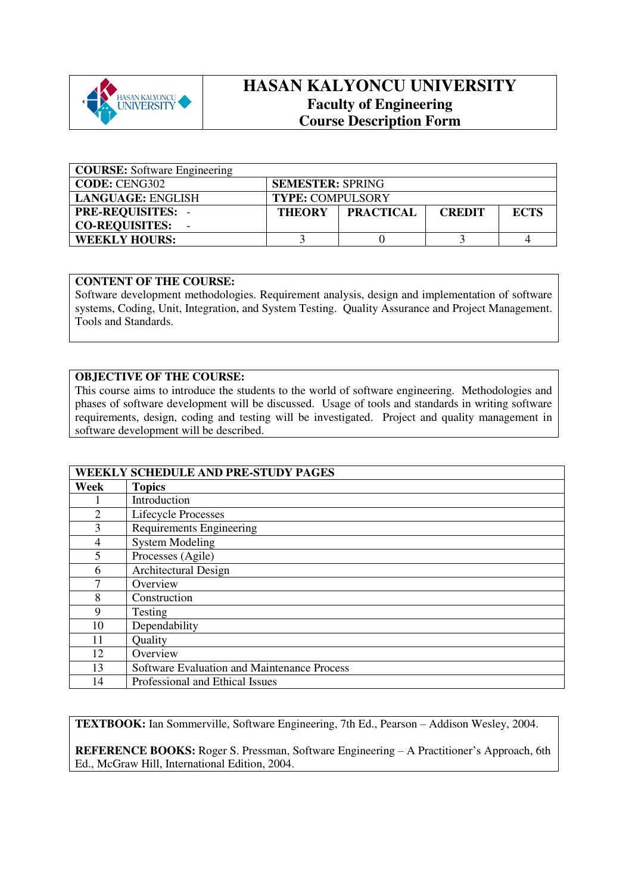

## **HASAN KALYONCU UNIVERSITY Faculty of Engineering Course Description Form**

| <b>COURSE:</b> Software Engineering |                         |                  |               |             |
|-------------------------------------|-------------------------|------------------|---------------|-------------|
| <b>CODE: CENG302</b>                | <b>SEMESTER: SPRING</b> |                  |               |             |
| LANGUAGE: ENGLISH                   | <b>TYPE: COMPULSORY</b> |                  |               |             |
| <b>PRE-REQUISITES: -</b>            | <b>THEORY</b>           | <b>PRACTICAL</b> | <b>CREDIT</b> | <b>ECTS</b> |
| <b>CO-REQUISITES:</b>               |                         |                  |               |             |
| <b>WEEKLY HOURS:</b>                |                         |                  |               |             |

## **CONTENT OF THE COURSE:**

Software development methodologies. Requirement analysis, design and implementation of software systems, Coding, Unit, Integration, and System Testing. Quality Assurance and Project Management. Tools and Standards.

## **OBJECTIVE OF THE COURSE:**

This course aims to introduce the students to the world of software engineering. Methodologies and phases of software development will be discussed. Usage of tools and standards in writing software requirements, design, coding and testing will be investigated. Project and quality management in software development will be described.

|      | WEEKLY SCHEDULE AND PRE-STUDY PAGES         |
|------|---------------------------------------------|
| Week | <b>Topics</b>                               |
|      | Introduction                                |
| 2    | Lifecycle Processes                         |
| 3    | Requirements Engineering                    |
| 4    | <b>System Modeling</b>                      |
| 5    | Processes (Agile)                           |
| 6    | Architectural Design                        |
|      | Overview                                    |
| 8    | Construction                                |
| 9    | Testing                                     |
| 10   | Dependability                               |
| 11   | Quality                                     |
| 12   | Overview                                    |
| 13   | Software Evaluation and Maintenance Process |
| 14   | Professional and Ethical Issues             |

**TEXTBOOK:** Ian Sommerville, Software Engineering, 7th Ed., Pearson – Addison Wesley, 2004.

**REFERENCE BOOKS:** Roger S. Pressman, Software Engineering – A Practitioner's Approach, 6th Ed., McGraw Hill, International Edition, 2004.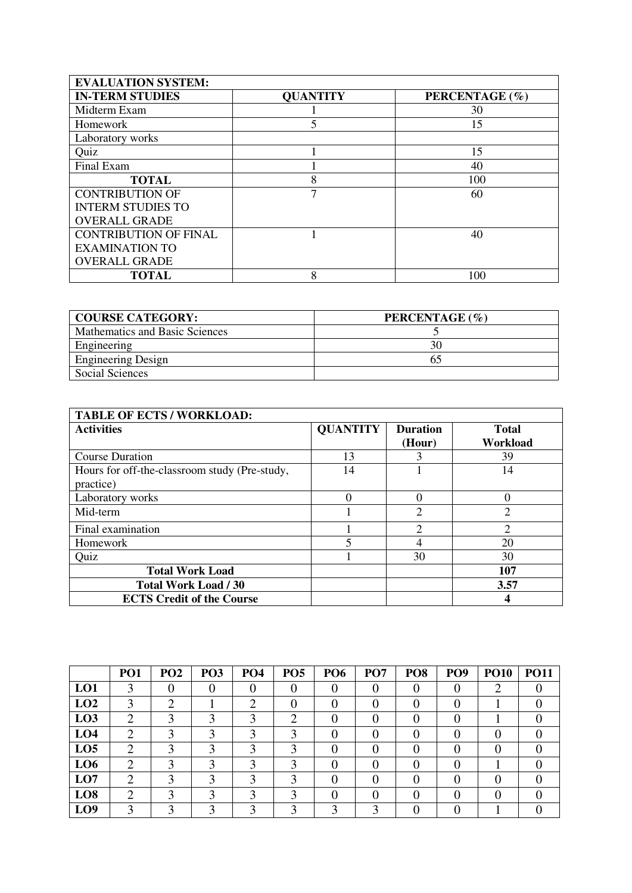| <b>EVALUATION SYSTEM:</b>    |                 |                |
|------------------------------|-----------------|----------------|
| <b>IN-TERM STUDIES</b>       | <b>QUANTITY</b> | PERCENTAGE (%) |
| Midterm Exam                 |                 | 30             |
| Homework                     | 5               | 15             |
| Laboratory works             |                 |                |
| Quiz                         |                 | 15             |
| Final Exam                   |                 | 40             |
| <b>TOTAL</b>                 | 8               | 100            |
| <b>CONTRIBUTION OF</b>       | 7               | 60             |
| <b>INTERM STUDIES TO</b>     |                 |                |
| <b>OVERALL GRADE</b>         |                 |                |
| <b>CONTRIBUTION OF FINAL</b> |                 | 40             |
| <b>EXAMINATION TO</b>        |                 |                |
| <b>OVERALL GRADE</b>         |                 |                |
| <b>TOTAL</b>                 | 8               | 100            |

| <b>COURSE CATEGORY:</b>        | PERCENTAGE (%) |
|--------------------------------|----------------|
| Mathematics and Basic Sciences |                |
| Engineering                    |                |
| <b>Engineering Design</b>      |                |
| Social Sciences                |                |

| <b>TABLE OF ECTS / WORKLOAD:</b>                           |                 |                             |                          |
|------------------------------------------------------------|-----------------|-----------------------------|--------------------------|
| <b>Activities</b>                                          | <b>QUANTITY</b> | <b>Duration</b><br>(Hour)   | <b>Total</b><br>Workload |
| <b>Course Duration</b>                                     | 13              |                             | 39                       |
| Hours for off-the-classroom study (Pre-study,<br>practice) | 14              |                             | 14                       |
| Laboratory works                                           | $\Omega$        |                             |                          |
| Mid-term                                                   |                 | $\overline{2}$              | $\overline{2}$           |
| Final examination                                          |                 | $\mathcal{D}_{\mathcal{A}}$ | $\overline{2}$           |
| Homework                                                   | 5               |                             | 20                       |
| Quiz                                                       |                 | 30                          | 30                       |
| <b>Total Work Load</b>                                     |                 |                             | 107                      |
| <b>Total Work Load / 30</b>                                |                 |                             | 3.57                     |
| <b>ECTS Credit of the Course</b>                           |                 |                             |                          |

|                 | PO <sub>1</sub> | PO <sub>2</sub> | PO <sub>3</sub> | PO <sub>4</sub> | PO <sub>5</sub> | <b>PO6</b> | PO <sub>7</sub> | PO <sub>8</sub> | PO <sub>9</sub> | <b>PO10</b> | <b>PO11</b> |
|-----------------|-----------------|-----------------|-----------------|-----------------|-----------------|------------|-----------------|-----------------|-----------------|-------------|-------------|
| LO1             |                 |                 |                 |                 |                 |            |                 |                 |                 |             |             |
| LO2             |                 | ◠               |                 | ◠               |                 |            |                 |                 |                 |             |             |
| LO <sub>3</sub> |                 |                 |                 |                 |                 |            |                 |                 |                 |             |             |
| LO4             |                 |                 |                 |                 |                 |            |                 |                 |                 |             |             |
| LO <sub>5</sub> | ◠               |                 |                 |                 |                 |            |                 |                 |                 |             |             |
| LO <sub>6</sub> | ി               |                 |                 |                 | ◠               |            |                 |                 |                 |             |             |
| LO7             |                 |                 |                 |                 |                 |            |                 |                 |                 |             |             |
| LO <sub>8</sub> | ി               |                 |                 |                 |                 |            |                 |                 |                 |             |             |
| LO <sub>9</sub> |                 |                 |                 |                 |                 |            |                 |                 |                 |             |             |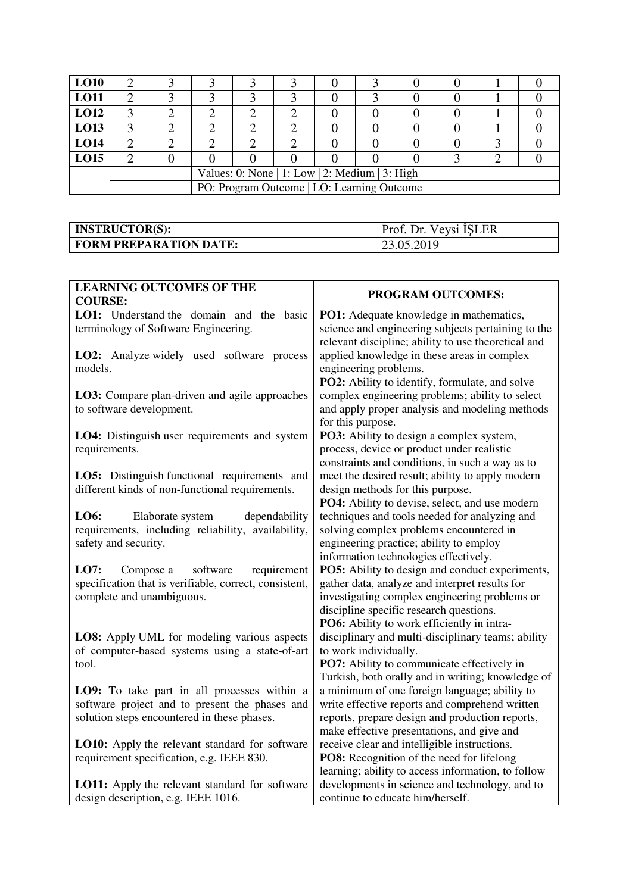| <b>LO10</b> |  |                                                |  |  |  |  |  |  |  |
|-------------|--|------------------------------------------------|--|--|--|--|--|--|--|
| <b>LO11</b> |  |                                                |  |  |  |  |  |  |  |
| LO12        |  |                                                |  |  |  |  |  |  |  |
| LO13        |  |                                                |  |  |  |  |  |  |  |
| <b>LO14</b> |  |                                                |  |  |  |  |  |  |  |
| <b>LO15</b> |  |                                                |  |  |  |  |  |  |  |
|             |  | Values: 0: None   1: Low   2: Medium   3: High |  |  |  |  |  |  |  |
|             |  | PO: Program Outcome   LO: Learning Outcome     |  |  |  |  |  |  |  |

| <b>INSTRUCTOR(S):</b>         | Prof. Dr. Veysi ISLER |
|-------------------------------|-----------------------|
| <b>FORM PREPARATION DATE:</b> | 23.05.2019            |

| <b>LEARNING OUTCOMES OF THE</b>                                                                                                              | PROGRAM OUTCOMES:                                                                                                                                                                                                                                  |
|----------------------------------------------------------------------------------------------------------------------------------------------|----------------------------------------------------------------------------------------------------------------------------------------------------------------------------------------------------------------------------------------------------|
| <b>COURSE:</b>                                                                                                                               |                                                                                                                                                                                                                                                    |
| LO1: Understand the domain and the basic<br>terminology of Software Engineering.                                                             | PO1: Adequate knowledge in mathematics,<br>science and engineering subjects pertaining to the<br>relevant discipline; ability to use theoretical and                                                                                               |
| <b>LO2:</b> Analyze widely used software process<br>models.                                                                                  | applied knowledge in these areas in complex<br>engineering problems.<br>PO2: Ability to identify, formulate, and solve                                                                                                                             |
| LO3: Compare plan-driven and agile approaches<br>to software development.                                                                    | complex engineering problems; ability to select<br>and apply proper analysis and modeling methods<br>for this purpose.                                                                                                                             |
| LO4: Distinguish user requirements and system<br>requirements.                                                                               | PO3: Ability to design a complex system,<br>process, device or product under realistic<br>constraints and conditions, in such a way as to                                                                                                          |
| LO5: Distinguish functional requirements and<br>different kinds of non-functional requirements.                                              | meet the desired result; ability to apply modern<br>design methods for this purpose.<br>PO4: Ability to devise, select, and use modern                                                                                                             |
| LO6:<br>Elaborate system<br>dependability<br>requirements, including reliability, availability,<br>safety and security.                      | techniques and tools needed for analyzing and<br>solving complex problems encountered in<br>engineering practice; ability to employ<br>information technologies effectively.                                                                       |
| LO7:<br>software<br>requirement<br>Compose a<br>specification that is verifiable, correct, consistent,<br>complete and unambiguous.          | <b>PO5:</b> Ability to design and conduct experiments,<br>gather data, analyze and interpret results for<br>investigating complex engineering problems or<br>discipline specific research questions.<br>PO6: Ability to work efficiently in intra- |
| LO8: Apply UML for modeling various aspects<br>of computer-based systems using a state-of-art<br>tool.                                       | disciplinary and multi-disciplinary teams; ability<br>to work individually.<br>PO7: Ability to communicate effectively in<br>Turkish, both orally and in writing; knowledge of                                                                     |
| LO9: To take part in all processes within a<br>software project and to present the phases and<br>solution steps encountered in these phases. | a minimum of one foreign language; ability to<br>write effective reports and comprehend written<br>reports, prepare design and production reports,<br>make effective presentations, and give and                                                   |
| <b>LO10:</b> Apply the relevant standard for software<br>requirement specification, e.g. IEEE 830.                                           | receive clear and intelligible instructions.<br>PO8: Recognition of the need for lifelong<br>learning; ability to access information, to follow                                                                                                    |
| LO11: Apply the relevant standard for software<br>design description, e.g. IEEE 1016.                                                        | developments in science and technology, and to<br>continue to educate him/herself.                                                                                                                                                                 |